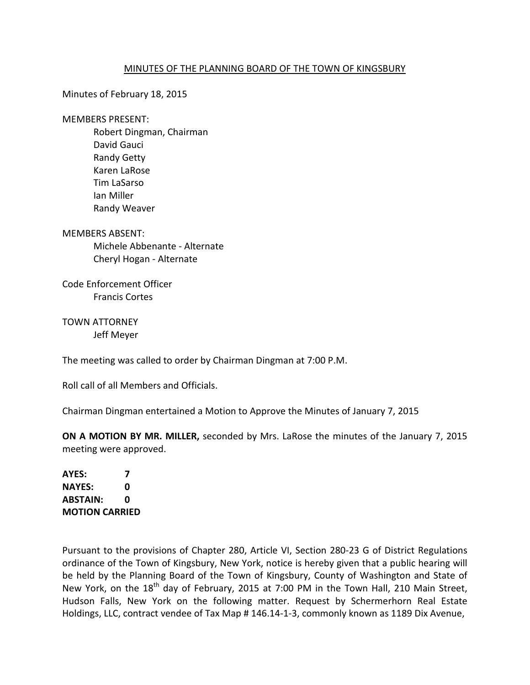## MINUTES OF THE PLANNING BOARD OF THE TOWN OF KINGSBURY

Minutes of February 18, 2015

MEMBERS PRESENT:

 Robert Dingman, Chairman David Gauci Randy Getty Karen LaRose Tim LaSarso Ian Miller Randy Weaver

MEMBERS ABSENT: Michele Abbenante - Alternate Cheryl Hogan - Alternate

Code Enforcement Officer Francis Cortes

TOWN ATTORNEY Jeff Meyer

The meeting was called to order by Chairman Dingman at 7:00 P.M.

Roll call of all Members and Officials.

Chairman Dingman entertained a Motion to Approve the Minutes of January 7, 2015

**ON A MOTION BY MR. MILLER,** seconded by Mrs. LaRose the minutes of the January 7, 2015 meeting were approved.

**AYES: 7 NAYES: 0 ABSTAIN: 0 MOTION CARRIED** 

Pursuant to the provisions of Chapter 280, Article VI, Section 280-23 G of District Regulations ordinance of the Town of Kingsbury, New York, notice is hereby given that a public hearing will be held by the Planning Board of the Town of Kingsbury, County of Washington and State of New York, on the 18<sup>th</sup> day of February, 2015 at 7:00 PM in the Town Hall, 210 Main Street, Hudson Falls, New York on the following matter. Request by Schermerhorn Real Estate Holdings, LLC, contract vendee of Tax Map # 146.14-1-3, commonly known as 1189 Dix Avenue,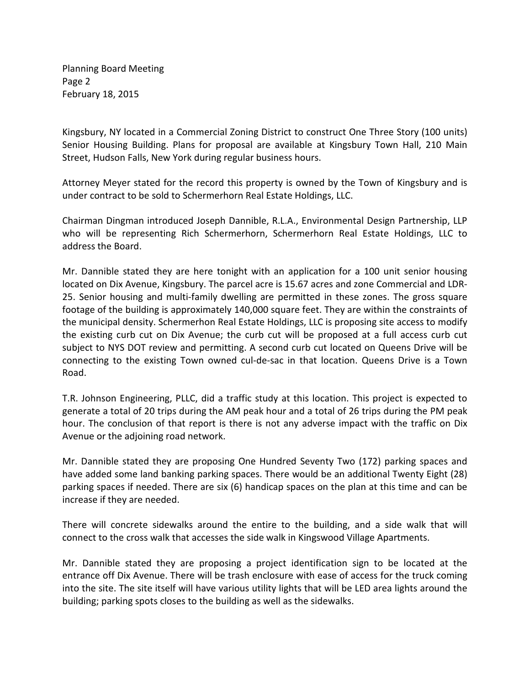Planning Board Meeting Page 2 February 18, 2015

Kingsbury, NY located in a Commercial Zoning District to construct One Three Story (100 units) Senior Housing Building. Plans for proposal are available at Kingsbury Town Hall, 210 Main Street, Hudson Falls, New York during regular business hours.

Attorney Meyer stated for the record this property is owned by the Town of Kingsbury and is under contract to be sold to Schermerhorn Real Estate Holdings, LLC.

Chairman Dingman introduced Joseph Dannible, R.L.A., Environmental Design Partnership, LLP who will be representing Rich Schermerhorn, Schermerhorn Real Estate Holdings, LLC to address the Board.

Mr. Dannible stated they are here tonight with an application for a 100 unit senior housing located on Dix Avenue, Kingsbury. The parcel acre is 15.67 acres and zone Commercial and LDR-25. Senior housing and multi-family dwelling are permitted in these zones. The gross square footage of the building is approximately 140,000 square feet. They are within the constraints of the municipal density. Schermerhon Real Estate Holdings, LLC is proposing site access to modify the existing curb cut on Dix Avenue; the curb cut will be proposed at a full access curb cut subject to NYS DOT review and permitting. A second curb cut located on Queens Drive will be connecting to the existing Town owned cul-de-sac in that location. Queens Drive is a Town Road.

T.R. Johnson Engineering, PLLC, did a traffic study at this location. This project is expected to generate a total of 20 trips during the AM peak hour and a total of 26 trips during the PM peak hour. The conclusion of that report is there is not any adverse impact with the traffic on Dix Avenue or the adjoining road network.

Mr. Dannible stated they are proposing One Hundred Seventy Two (172) parking spaces and have added some land banking parking spaces. There would be an additional Twenty Eight (28) parking spaces if needed. There are six (6) handicap spaces on the plan at this time and can be increase if they are needed.

There will concrete sidewalks around the entire to the building, and a side walk that will connect to the cross walk that accesses the side walk in Kingswood Village Apartments.

Mr. Dannible stated they are proposing a project identification sign to be located at the entrance off Dix Avenue. There will be trash enclosure with ease of access for the truck coming into the site. The site itself will have various utility lights that will be LED area lights around the building; parking spots closes to the building as well as the sidewalks.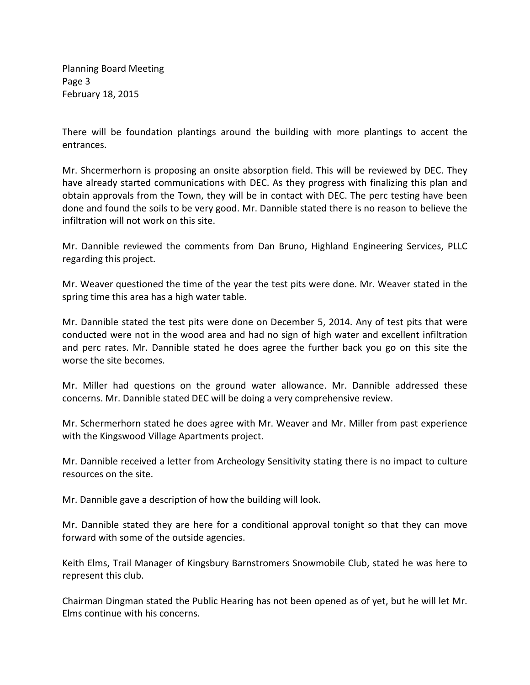Planning Board Meeting Page 3 February 18, 2015

There will be foundation plantings around the building with more plantings to accent the entrances.

Mr. Shcermerhorn is proposing an onsite absorption field. This will be reviewed by DEC. They have already started communications with DEC. As they progress with finalizing this plan and obtain approvals from the Town, they will be in contact with DEC. The perc testing have been done and found the soils to be very good. Mr. Dannible stated there is no reason to believe the infiltration will not work on this site.

Mr. Dannible reviewed the comments from Dan Bruno, Highland Engineering Services, PLLC regarding this project.

Mr. Weaver questioned the time of the year the test pits were done. Mr. Weaver stated in the spring time this area has a high water table.

Mr. Dannible stated the test pits were done on December 5, 2014. Any of test pits that were conducted were not in the wood area and had no sign of high water and excellent infiltration and perc rates. Mr. Dannible stated he does agree the further back you go on this site the worse the site becomes.

Mr. Miller had questions on the ground water allowance. Mr. Dannible addressed these concerns. Mr. Dannible stated DEC will be doing a very comprehensive review.

Mr. Schermerhorn stated he does agree with Mr. Weaver and Mr. Miller from past experience with the Kingswood Village Apartments project.

Mr. Dannible received a letter from Archeology Sensitivity stating there is no impact to culture resources on the site.

Mr. Dannible gave a description of how the building will look.

Mr. Dannible stated they are here for a conditional approval tonight so that they can move forward with some of the outside agencies.

Keith Elms, Trail Manager of Kingsbury Barnstromers Snowmobile Club, stated he was here to represent this club.

Chairman Dingman stated the Public Hearing has not been opened as of yet, but he will let Mr. Elms continue with his concerns.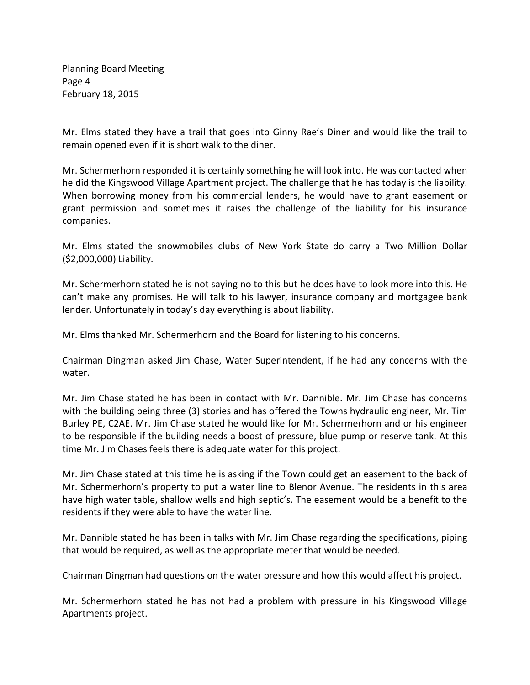Planning Board Meeting Page 4 February 18, 2015

Mr. Elms stated they have a trail that goes into Ginny Rae's Diner and would like the trail to remain opened even if it is short walk to the diner.

Mr. Schermerhorn responded it is certainly something he will look into. He was contacted when he did the Kingswood Village Apartment project. The challenge that he has today is the liability. When borrowing money from his commercial lenders, he would have to grant easement or grant permission and sometimes it raises the challenge of the liability for his insurance companies.

Mr. Elms stated the snowmobiles clubs of New York State do carry a Two Million Dollar (\$2,000,000) Liability.

Mr. Schermerhorn stated he is not saying no to this but he does have to look more into this. He can't make any promises. He will talk to his lawyer, insurance company and mortgagee bank lender. Unfortunately in today's day everything is about liability.

Mr. Elms thanked Mr. Schermerhorn and the Board for listening to his concerns.

Chairman Dingman asked Jim Chase, Water Superintendent, if he had any concerns with the water.

Mr. Jim Chase stated he has been in contact with Mr. Dannible. Mr. Jim Chase has concerns with the building being three (3) stories and has offered the Towns hydraulic engineer, Mr. Tim Burley PE, C2AE. Mr. Jim Chase stated he would like for Mr. Schermerhorn and or his engineer to be responsible if the building needs a boost of pressure, blue pump or reserve tank. At this time Mr. Jim Chases feels there is adequate water for this project.

Mr. Jim Chase stated at this time he is asking if the Town could get an easement to the back of Mr. Schermerhorn's property to put a water line to Blenor Avenue. The residents in this area have high water table, shallow wells and high septic's. The easement would be a benefit to the residents if they were able to have the water line.

Mr. Dannible stated he has been in talks with Mr. Jim Chase regarding the specifications, piping that would be required, as well as the appropriate meter that would be needed.

Chairman Dingman had questions on the water pressure and how this would affect his project.

Mr. Schermerhorn stated he has not had a problem with pressure in his Kingswood Village Apartments project.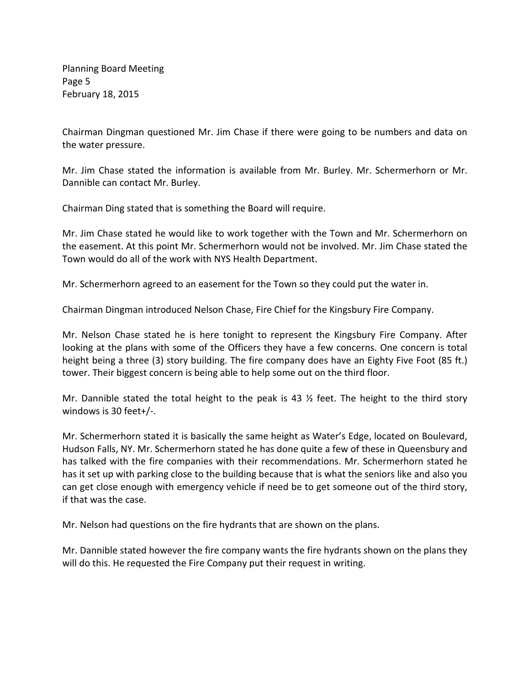Planning Board Meeting Page 5 February 18, 2015

Chairman Dingman questioned Mr. Jim Chase if there were going to be numbers and data on the water pressure.

Mr. Jim Chase stated the information is available from Mr. Burley. Mr. Schermerhorn or Mr. Dannible can contact Mr. Burley.

Chairman Ding stated that is something the Board will require.

Mr. Jim Chase stated he would like to work together with the Town and Mr. Schermerhorn on the easement. At this point Mr. Schermerhorn would not be involved. Mr. Jim Chase stated the Town would do all of the work with NYS Health Department.

Mr. Schermerhorn agreed to an easement for the Town so they could put the water in.

Chairman Dingman introduced Nelson Chase, Fire Chief for the Kingsbury Fire Company.

Mr. Nelson Chase stated he is here tonight to represent the Kingsbury Fire Company. After looking at the plans with some of the Officers they have a few concerns. One concern is total height being a three (3) story building. The fire company does have an Eighty Five Foot (85 ft.) tower. Their biggest concern is being able to help some out on the third floor.

Mr. Dannible stated the total height to the peak is 43  $\frac{1}{2}$  feet. The height to the third story windows is 30 feet+/-.

Mr. Schermerhorn stated it is basically the same height as Water's Edge, located on Boulevard, Hudson Falls, NY. Mr. Schermerhorn stated he has done quite a few of these in Queensbury and has talked with the fire companies with their recommendations. Mr. Schermerhorn stated he has it set up with parking close to the building because that is what the seniors like and also you can get close enough with emergency vehicle if need be to get someone out of the third story, if that was the case.

Mr. Nelson had questions on the fire hydrants that are shown on the plans.

Mr. Dannible stated however the fire company wants the fire hydrants shown on the plans they will do this. He requested the Fire Company put their request in writing.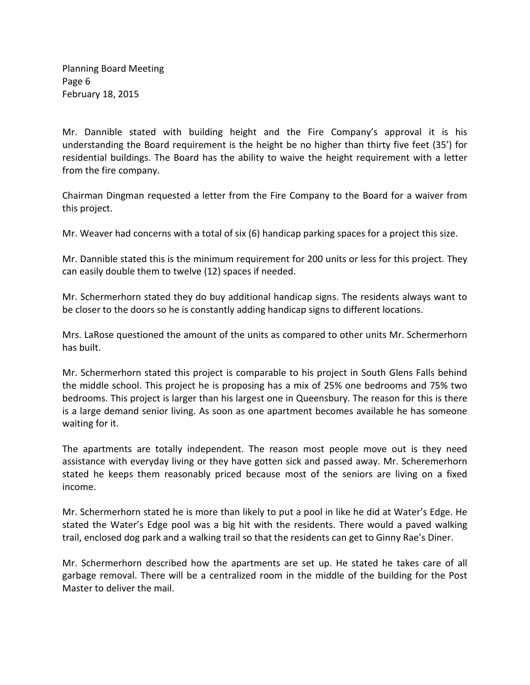Planning Board Meeting Page 6 February 18, 2015

Mr. Dannible stated with building height and the Fire Company's approval it is his understanding the Board requirement is the height be no higher than thirty five feet (35') for residential buildings. The Board has the ability to waive the height requirement with a letter from the fire company.

Chairman Dingman requested a letter from the Fire Company to the Board for a waiver from this project.

Mr. Weaver had concerns with a total of six (6) handicap parking spaces for a project this size.

Mr. Dannible stated this is the minimum requirement for 200 units or less for this project. They can easily double them to twelve (12) spaces if needed.

Mr. Schermerhorn stated they do buy additional handicap signs. The residents always want to be closer to the doors so he is constantly adding handicap signs to different locations.

Mrs. LaRose questioned the amount of the units as compared to other units Mr. Schermerhorn has built.

Mr. Schermerhorn stated this project is comparable to his project in South Glens Falls behind the middle school. This project he is proposing has a mix of 25% one bedrooms and 75% two bedrooms. This project is larger than his largest one in Queensbury. The reason for this is there is a large demand senior living. As soon as one apartment becomes available he has someone waiting for it.

The apartments are totally independent. The reason most people move out is they need assistance with everyday living or they have gotten sick and passed away. Mr. Scheremerhorn stated he keeps them reasonably priced because most of the seniors are living on a fixed income.

Mr. Schermerhorn stated he is more than likely to put a pool in like he did at Water's Edge. He stated the Water's Edge pool was a big hit with the residents. There would a paved walking trail, enclosed dog park and a walking trail so that the residents can get to Ginny Rae's Diner.

Mr. Schermerhorn described how the apartments are set up. He stated he takes care of all garbage removal. There will be a centralized room in the middle of the building for the Post Master to deliver the mail.